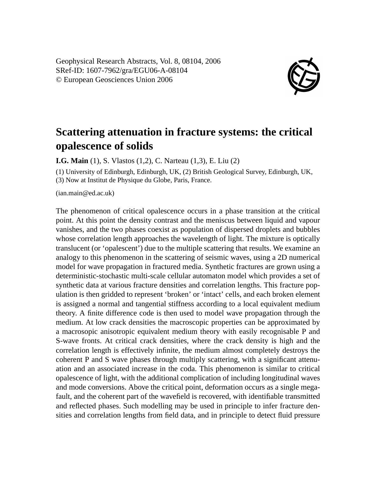Geophysical Research Abstracts, Vol. 8, 08104, 2006 SRef-ID: 1607-7962/gra/EGU06-A-08104 © European Geosciences Union 2006



## **Scattering attenuation in fracture systems: the critical opalescence of solids**

**I.G. Main** (1), S. Vlastos (1,2), C. Narteau (1,3), E. Liu (2)

(1) University of Edinburgh, Edinburgh, UK, (2) British Geological Survey, Edinburgh, UK, (3) Now at Institut de Physique du Globe, Paris, France.

(ian.main@ed.ac.uk)

The phenomenon of critical opalescence occurs in a phase transition at the critical point. At this point the density contrast and the meniscus between liquid and vapour vanishes, and the two phases coexist as population of dispersed droplets and bubbles whose correlation length approaches the wavelength of light. The mixture is optically translucent (or 'opalescent') due to the multiple scattering that results. We examine an analogy to this phenomenon in the scattering of seismic waves, using a 2D numerical model for wave propagation in fractured media. Synthetic fractures are grown using a deterministic-stochastic multi-scale cellular automaton model which provides a set of synthetic data at various fracture densities and correlation lengths. This fracture population is then gridded to represent 'broken' or 'intact' cells, and each broken element is assigned a normal and tangential stiffness according to a local equivalent medium theory. A finite difference code is then used to model wave propagation through the medium. At low crack densities the macroscopic properties can be approximated by a macrosopic anisotropic equivalent medium theory with easily recognisable P and S-wave fronts. At critical crack densities, where the crack density is high and the correlation length is effectively infinite, the medium almost completely destroys the coherent P and S wave phases through multiply scattering, with a significant attenuation and an associated increase in the coda. This phenomenon is similar to critical opalescence of light, with the additional complication of including longitudinal waves and mode conversions. Above the critical point, deformation occurs as a single megafault, and the coherent part of the wavefield is recovered, with identifiable transmitted and reflected phases. Such modelling may be used in principle to infer fracture densities and correlation lengths from field data, and in principle to detect fluid pressure